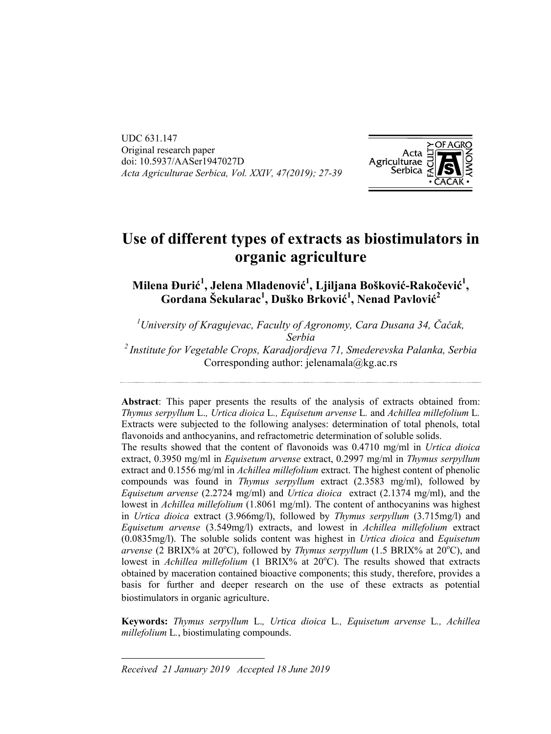UDC 631.147 Original research paper doi: 10.5937/AASer1947027D *Acta Agriculturae Serbica, Vol. XXIV, 47(2019); 27-391*



# **Use of different types of extracts as biostimulators in organic agriculture**

**Milena Đurić 1 , Jelena Mladenović 1 , Ljiljana Bošković-Rakočević 1 , Gordana Šekularac1 , Duško Brković 1 , Nenad Pavlović 2**

*1 University of Kragujevac, Faculty of Agronomy, Cara Dusana 34, Čačak, Serbia 2 Institute for Vegetable Crops, Karadjordjeva 71, Smederevska Palanka, Serbia*  Corresponding author: jelenamala@kg.ac.rs

**Abstract**: This paper presents the results of the analysis of extracts obtained from: *Thymus serpyllum* L.*, Urtica dioica* L*., Equisetum arvense* L*.* and *Achillea millefolium* L*.* Extracts were subjected to the following analyses: determination of total phenols, total flavonoids and anthocyanins, and refractometric determination of soluble solids.

The results showed that the content of flavonoids was 0.4710 mg/ml in *Urtica dioicа* extract, 0.3950 mg/ml in *Equisetum arvense* extract, 0.2997 mg/ml in *Thymus serpyllum* extract and 0.1556 mg/ml in *Achillea millefolium* extract. The highest content of phenolic compounds was found in *Thymus serpyllum* extract (2.3583 mg/ml), followed by *Equisetum arvense* (2.2724 mg/ml) and *Urtica dioicа* extract (2.1374 mg/ml), and the lowest in *Achillea millefolium* (1.8061 mg/ml). The content of anthocyanins was highest in *Urtica dioicа* extract (3.966mg/l), followed by *Thymus serpyllum* (3.715mg/l) and *Equisetum arvense* (3.549mg/l) extracts, and lowest in *Achillea millefolium* extract (0.0835mg/l). The soluble solids content was highest in *Urtica dioicа* and *Equisetum*  arvense (2 BRIX% at 20°C), followed by *Thymus serpyllum* (1.5 BRIX% at 20°C), and lowest in *Achillea millefolium* (1 BRIX% at 20°C). The results showed that extracts obtained by maceration contained bioactive components; this study, therefore, provides a basis for further and deeper research on the use of these extracts as potential biostimulators in organic agriculture.

**Keywords:** *Thymus serpyllum* L.*, Urtica dioica* L*., Equisetum arvense* L*., Achillea millefolium* L*.*, biostimulating compounds.

*Received 21 January 2019 Accepted 18 June 2019*

l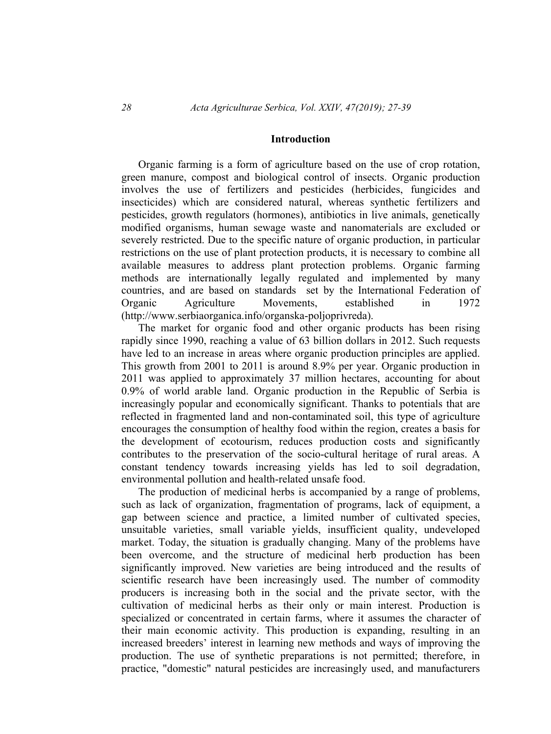#### **Introduction**

Organic farming is a form of agriculture based on the use of crop rotation, green manure, compost and biological control of insects. Organic production involves the use of fertilizers and pesticides (herbicides, fungicides and insecticides) which are considered natural, whereas synthetic fertilizers and pesticides, growth regulators (hormones), antibiotics in live animals, genetically modified organisms, human sewage waste and nanomaterials are excluded or severely restricted. Due to the specific nature of organic production, in particular restrictions on the use of plant protection products, it is necessary to combine all available measures to address plant protection problems. Organic farming methods are internationally legally regulated and implemented by many countries, and are based on standards set by the International Federation of Organic Agriculture Movements, established in 1972 (http://www.serbiaorganica.info/organska-poljoprivreda).

The market for organic food and other organic products has been rising rapidly since 1990, reaching a value of 63 billion dollars in 2012. Such requests have led to an increase in areas where organic production principles are applied. This growth from 2001 to 2011 is around 8.9% per year. Organic production in 2011 was applied to approximately 37 million hectares, accounting for about 0.9% of world arable land. Organic production in the Republic of Serbia is increasingly popular and economically significant. Thanks to potentials that are reflected in fragmented land and non-contaminated soil, this type of agriculture encourages the consumption of healthy food within the region, creates a basis for the development of ecotourism, reduces production costs and significantly contributes to the preservation of the socio-cultural heritage of rural areas. A constant tendency towards increasing yields has led to soil degradation, environmental pollution and health-related unsafe food.

The production of medicinal herbs is accompanied by a range of problems, such as lack of organization, fragmentation of programs, lack of equipment, a gap between science and practice, a limited number of cultivated species, unsuitable varieties, small variable yields, insufficient quality, undeveloped market. Today, the situation is gradually changing. Many of the problems have been overcome, and the structure of medicinal herb production has been significantly improved. New varieties are being introduced and the results of scientific research have been increasingly used. The number of commodity producers is increasing both in the social and the private sector, with the cultivation of medicinal herbs as their only or main interest. Production is specialized or concentrated in certain farms, where it assumes the character of their main economic activity. This production is expanding, resulting in an increased breeders' interest in learning new methods and ways of improving the production. The use of synthetic preparations is not permitted; therefore, in practice, "domestic" natural pesticides are increasingly used, and manufacturers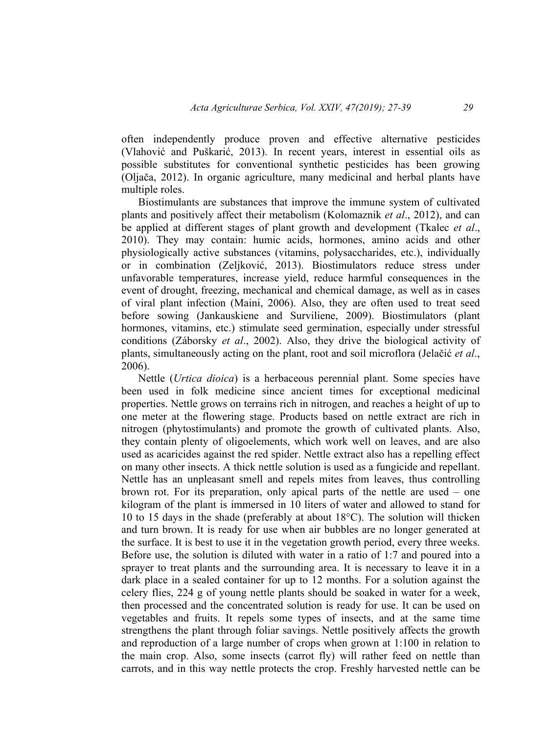often independently produce proven and effective alternative pesticides (Vlahović and Puškarić, 2013). In recent years, interest in essential oils as possible substitutes for conventional synthetic pesticides has been growing (Oljača, 2012). In organic agriculture, many medicinal and herbal plants have multiple roles.

Biostimulants are substances that improve the immune system of cultivated plants and positively affect their metabolism (Kolomaznik *et al*., 2012), and can be applied at different stages of plant growth and development (Tkalec *et al*., 2010). They may contain: humic acids, hormones, amino acids and other physiologically active substances (vitamins, polysaccharides, etc.), individually or in combination (Zeljković, 2013). Biostimulators reduce stress under unfavorable temperatures, increase yield, reduce harmful consequences in the event of drought, freezing, mechanical and chemical damage, as well as in cases of viral plant infection (Maini, 2006). Also, they are often used to treat seed before sowing (Jankauskiene and Surviliene, 2009). Biostimulators (plant hormones, vitamins, etc.) stimulate seed germination, especially under stressful conditions (Záborsky *et al*., 2002). Also, they drive the biological activity of plants, simultaneously acting on the plant, root and soil microflora (Jelačić *et al*., 2006).

Nettle (*Urtica dioica*) is a herbaceous perennial plant. Some species have been used in folk medicine since ancient times for exceptional medicinal properties. Nettle grows on terrains rich in nitrogen, and reaches a height of up to one meter at the flowering stage. Products based on nettle extract are rich in nitrogen (phytostimulants) and promote the growth of cultivated plants. Also, they contain plenty of oligoelements, which work well on leaves, and are also used as acaricides against the red spider. Nettle extract also has a repelling effect on many other insects. A thick nettle solution is used as a fungicide and repellant. Nettle has an unpleasant smell and repels mites from leaves, thus controlling brown rot. For its preparation, only apical parts of the nettle are used – one kilogram of the plant is immersed in 10 liters of water and allowed to stand for 10 to 15 days in the shade (preferably at about 18°C). The solution will thicken and turn brown. It is ready for use when air bubbles are no longer generated at the surface. It is best to use it in the vegetation growth period, every three weeks. Before use, the solution is diluted with water in a ratio of 1:7 and poured into a sprayer to treat plants and the surrounding area. It is necessary to leave it in a dark place in a sealed container for up to 12 months. For a solution against the celery flies, 224 g of young nettle plants should be soaked in water for a week, then processed and the concentrated solution is ready for use. It can be used on vegetables and fruits. It repels some types of insects, and at the same time strengthens the plant through foliar savings. Nettle positively affects the growth and reproduction of a large number of crops when grown at 1:100 in relation to the main crop. Also, some insects (carrot fly) will rather feed on nettle than carrots, and in this way nettle protects the crop. Freshly harvested nettle can be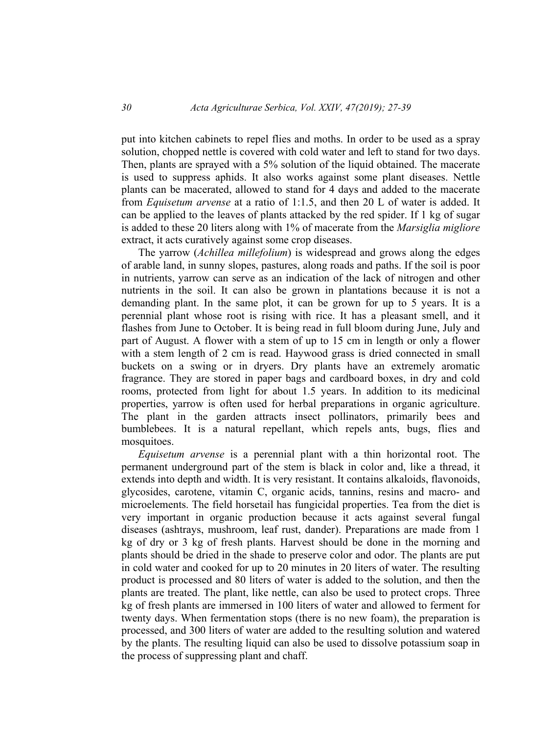put into kitchen cabinets to repel flies and moths. In order to be used as a spray solution, chopped nettle is covered with cold water and left to stand for two days. Then, plants are sprayed with a 5% solution of the liquid obtained. The macerate is used to suppress aphids. It also works against some plant diseases. Nettle plants can be macerated, allowed to stand for 4 days and added to the macerate from *Equisetum arvense* at a ratio of 1:1.5, and then 20 L of water is added. It can be applied to the leaves of plants attacked by the red spider. If 1 kg of sugar is added to these 20 liters along with 1% of macerate from the *Marsiglia migliore* extract, it acts curatively against some crop diseases.

The yarrow (*Achillea millefolium*) is widespread and grows along the edges of arable land, in sunny slopes, pastures, along roads and paths. If the soil is poor in nutrients, yarrow can serve as an indication of the lack of nitrogen and other nutrients in the soil. It can also be grown in plantations because it is not a demanding plant. In the same plot, it can be grown for up to 5 years. It is a perennial plant whose root is rising with rice. It has a pleasant smell, and it flashes from June to October. It is being read in full bloom during June, July and part of August. A flower with a stem of up to 15 cm in length or only a flower with a stem length of 2 cm is read. Haywood grass is dried connected in small buckets on a swing or in dryers. Dry plants have an extremely aromatic fragrance. They are stored in paper bags and cardboard boxes, in dry and cold rooms, protected from light for about 1.5 years. In addition to its medicinal properties, yarrow is often used for herbal preparations in organic agriculture. The plant in the garden attracts insect pollinators, primarily bees and bumblebees. It is a natural repellant, which repels ants, bugs, flies and mosquitoes.

*Equisetum arvense* is a perennial plant with a thin horizontal root. The permanent underground part of the stem is black in color and, like a thread, it extends into depth and width. It is very resistant. It contains alkaloids, flavonoids, glycosides, carotene, vitamin C, organic acids, tannins, resins and macro- and microelements. The field horsetail has fungicidal properties. Tea from the diet is very important in organic production because it acts against several fungal diseases (ashtrays, mushroom, leaf rust, dander). Preparations are made from 1 kg of dry or 3 kg of fresh plants. Harvest should be done in the morning and plants should be dried in the shade to preserve color and odor. The plants are put in cold water and cooked for up to 20 minutes in 20 liters of water. The resulting product is processed and 80 liters of water is added to the solution, and then the plants are treated. The plant, like nettle, can also be used to protect crops. Three kg of fresh plants are immersed in 100 liters of water and allowed to ferment for twenty days. When fermentation stops (there is no new foam), the preparation is processed, and 300 liters of water are added to the resulting solution and watered by the plants. The resulting liquid can also be used to dissolve potassium soap in the process of suppressing plant and chaff.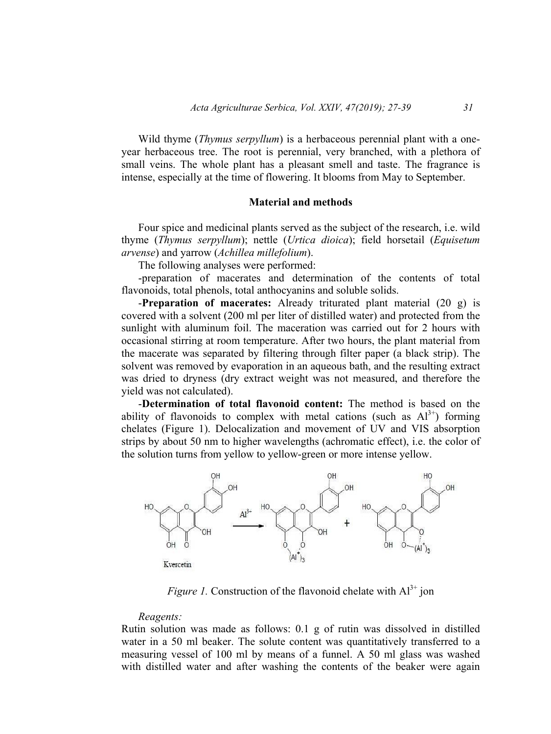Wild thyme (*Thymus serpyllum*) is a herbaceous perennial plant with a oneyear herbaceous tree. The root is perennial, very branched, with a plethora of small veins. The whole plant has a pleasant smell and taste. The fragrance is intense, especially at the time of flowering. It blooms from May to September.

### **Material and methods**

Four spice and medicinal plants served as the subject of the research, i.e. wild thyme (*Thymus serpyllum*); nettle (*Urtica dioica*); field horsetail (*Equisetum arvense*) and yarrow (*Achillea millefolium*).

The following analyses were performed:

-preparation of macerates and determination of the contents of total flavonoids, total phenols, total anthocyanins and soluble solids.

-**Preparation of macerates:** Already triturated plant material (20 g) is covered with a solvent (200 ml per liter of distilled water) and protected from the sunlight with aluminum foil. The maceration was carried out for 2 hours with occasional stirring at room temperature. After two hours, the plant material from the macerate was separated by filtering through filter paper (a black strip). The solvent was removed by evaporation in an aqueous bath, and the resulting extract was dried to dryness (dry extract weight was not measured, and therefore the yield was not calculated).

-**Determination of total flavonoid content:** The method is based on the ability of flavonoids to complex with metal cations (such as  $Al^{3+}$ ) forming chelates (Figure 1). Delocalization and movement of UV and VIS absorption strips by about 50 nm to higher wavelengths (achromatic effect), i.e. the color of the solution turns from yellow to yellow-green or more intense yellow.



*Figure 1.* Construction of the flavonoid chelate with  $Al^{3+}$  jon

#### *Reagents:*

Rutin solution was made as follows: 0.1 g of rutin was dissolved in distilled water in a 50 ml beaker. The solute content was quantitatively transferred to a measuring vessel of 100 ml by means of a funnel. A 50 ml glass was washed with distilled water and after washing the contents of the beaker were again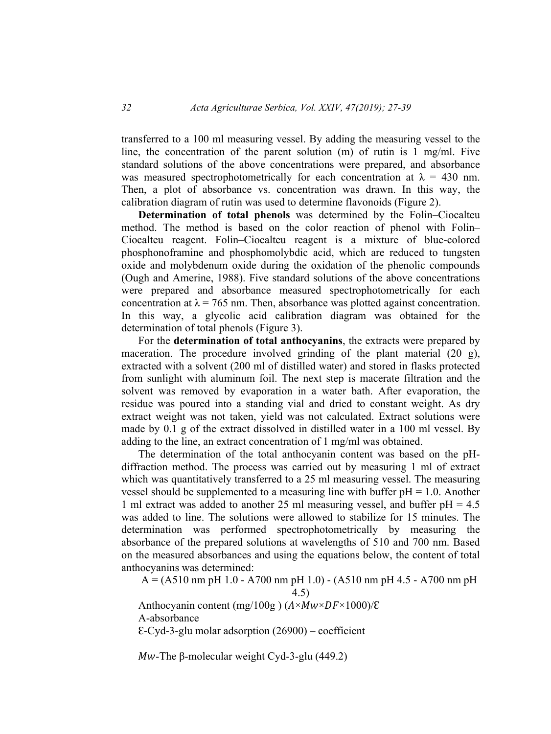transferred to a 100 ml measuring vessel. By adding the measuring vessel to the line, the concentration of the parent solution (m) of rutin is 1 mg/ml. Five standard solutions of the above concentrations were prepared, and absorbance was measured spectrophotometrically for each concentration at  $\lambda = 430$  nm. Then, a plot of absorbance vs. concentration was drawn. In this way, the calibration diagram of rutin was used to determine flavonoids (Figure 2).

**Determination of total phenols** was determined by the Folin–Ciocalteu method. The method is based on the color reaction of phenol with Folin– Ciocalteu reagent. Folin–Ciocalteu reagent is a mixture of blue-colored phosphonoframine and phosphomolybdic acid, which are reduced to tungsten oxide and molybdenum oxide during the oxidation of the phenolic compounds (Ough and Amerine, 1988). Five standard solutions of the above concentrations were prepared and absorbance measured spectrophotometrically for each concentration at  $\lambda$  = 765 nm. Then, absorbance was plotted against concentration. In this way, a glycolic acid calibration diagram was obtained for the determination of total phenols (Figure 3).

For the **determination of total anthocyanins**, the extracts were prepared by maceration. The procedure involved grinding of the plant material (20 g), extracted with a solvent (200 ml of distilled water) and stored in flasks protected from sunlight with aluminum foil. The next step is macerate filtration and the solvent was removed by evaporation in a water bath. After evaporation, the residue was poured into a standing vial and dried to constant weight. As dry extract weight was not taken, yield was not calculated. Extract solutions were made by 0.1 g of the extract dissolved in distilled water in a 100 ml vessel. By adding to the line, an extract concentration of 1 mg/ml was obtained.

The determination of the total anthocyanin content was based on the pHdiffraction method. The process was carried out by measuring 1 ml of extract which was quantitatively transferred to a 25 ml measuring vessel. The measuring vessel should be supplemented to a measuring line with buffer  $pH = 1.0$ . Another 1 ml extract was added to another 25 ml measuring vessel, and buffer pH = 4.5 was added to line. The solutions were allowed to stabilize for 15 minutes. The determination was performed spectrophotometrically by measuring the absorbance of the prepared solutions at wavelengths of 510 and 700 nm. Based on the measured absorbances and using the equations below, the content of total anthocyanins was determined:

 $A = (A510 \text{ nm }pH 1.0 - A700 \text{ nm }pH 1.0) - (A510 \text{ nm }pH 4.5 - A700 \text{ nm }pH$ 

4.5)

Anthocyanin content (mg/100g)  $(A \times Mw \times DF \times 1000)/\epsilon$ A-absorbance  $E-Cyd-3-glu$  molar adsorption  $(26900)$  – coefficient

 $Mw$ -The β-molecular weight Cyd-3-glu (449.2)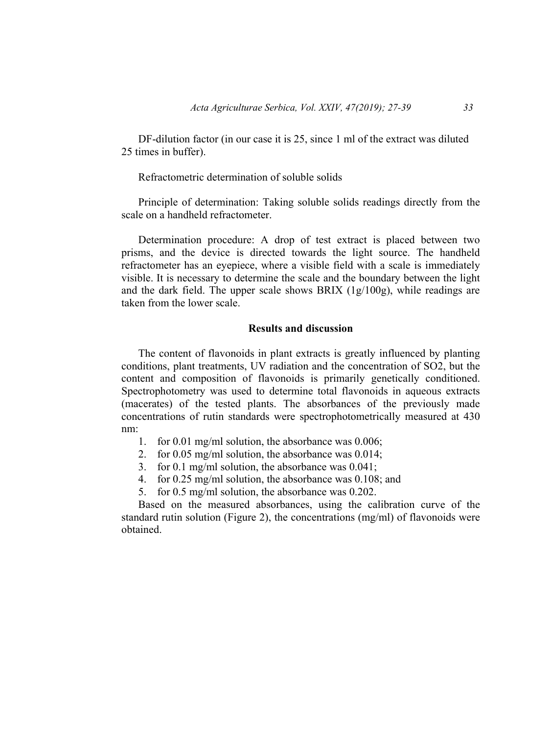DF-dilution factor (in our case it is 25, since 1 ml of the extract was diluted 25 times in buffer).

Refractometric determination of soluble solids

Principle of determination: Taking soluble solids readings directly from the scale on a handheld refractometer.

Determination procedure: A drop of test extract is placed between two prisms, and the device is directed towards the light source. The handheld refractometer has an eyepiece, where a visible field with a scale is immediately visible. It is necessary to determine the scale and the boundary between the light and the dark field. The upper scale shows BRIX (1g/100g), while readings are taken from the lower scale.

### **Results and discussion**

The content of flavonoids in plant extracts is greatly influenced by planting conditions, plant treatments, UV radiation and the concentration of SO2, but the content and composition of flavonoids is primarily genetically conditioned. Spectrophotometry was used to determine total flavonoids in aqueous extracts (macerates) of the tested plants. The absorbances of the previously made concentrations of rutin standards were spectrophotometrically measured at 430 nm:

- 1. for 0.01 mg/ml solution, the absorbance was 0.006;
- 2. for 0.05 mg/ml solution, the absorbance was 0.014;
- 3. for 0.1 mg/ml solution, the absorbance was 0.041;
- 4. for 0.25 mg/ml solution, the absorbance was 0.108; and
- 5. for 0.5 mg/ml solution, the absorbance was 0.202.

Based on the measured absorbances, using the calibration curve of the standard rutin solution (Figure 2), the concentrations (mg/ml) of flavonoids were obtained.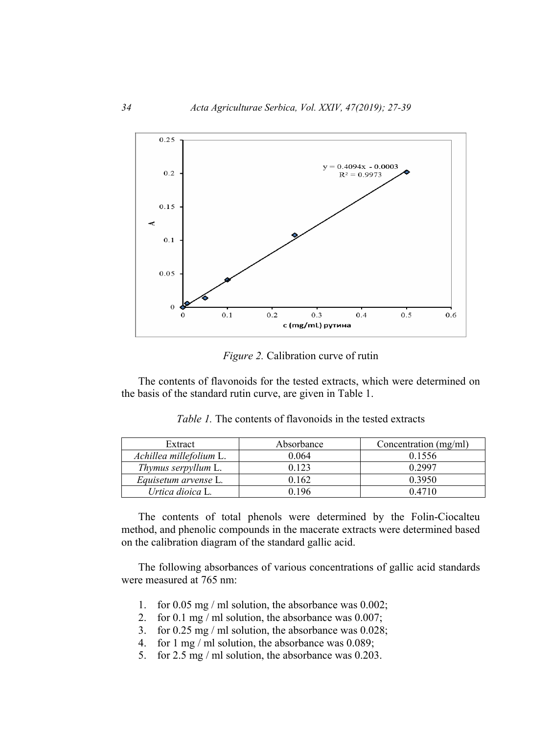

*Figure 2.* Calibration curve of rutin

The contents of flavonoids for the tested extracts, which were determined on the basis of the standard rutin curve, are given in Table 1.

| Extract                    | Absorbance | Concentration (mg/ml) |  |
|----------------------------|------------|-----------------------|--|
| Achillea millefolium L.    | 0.064      | 0.1556                |  |
| <i>Thymus serpyllum</i> L. | 0 123      | 0 2997                |  |
| Equisetum arvense L.       | 1.162      | 0.3950                |  |
| Urtica dioica L.           | ) 196      | 0.4710                |  |

*Table 1.* The contents of flavonoids in the tested extracts

The contents of total phenols were determined by the Folin-Ciocalteu method, and phenolic compounds in the macerate extracts were determined based on the calibration diagram of the standard gallic acid.

The following absorbances of various concentrations of gallic acid standards were measured at 765 nm:

- 1. for 0.05 mg / ml solution, the absorbance was 0.002;
- 2. for 0.1 mg / ml solution, the absorbance was 0.007;
- 3. for 0.25 mg / ml solution, the absorbance was 0.028;
- 4. for 1 mg / ml solution, the absorbance was 0.089;
- 5. for 2.5 mg / ml solution, the absorbance was 0.203.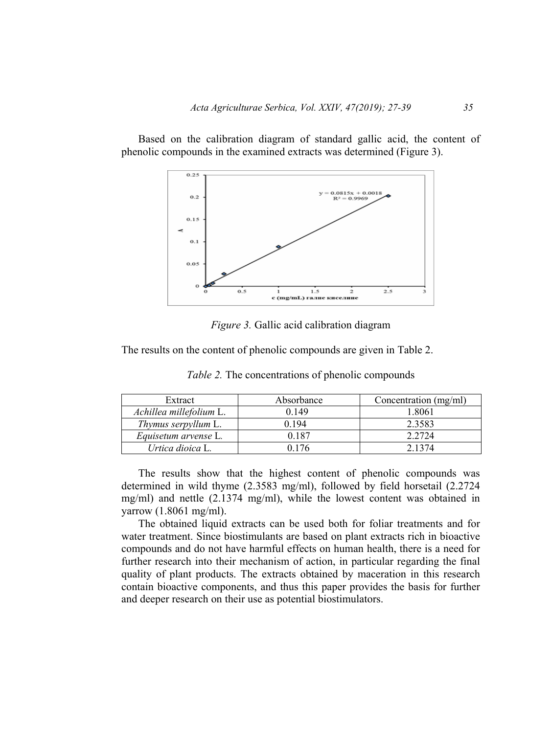Based on the calibration diagram of standard gallic acid, the content of phenolic compounds in the examined extracts was determined (Figure 3).



*Figure 3.* Gallic acid calibration diagram

The results on the content of phenolic compounds are given in Table 2.

| Extract                    | Absorbance | Concentration (mg/ml) |  |
|----------------------------|------------|-----------------------|--|
| Achillea millefolium L.    | 0 149      | 1.8061                |  |
| <i>Thymus serpyllum L.</i> | 0 194      | 2.3583                |  |
| Equisetum arvense L.       | በ 187      | 2.2724                |  |
| Urtica dioica L.           |            | 2 1 3 7 4             |  |

*Table 2.* The concentrations of phenolic compounds

The results show that the highest content of phenolic compounds was determined in wild thyme (2.3583 mg/ml), followed by field horsetail (2.2724 mg/ml) and nettle (2.1374 mg/ml), while the lowest content was obtained in yarrow (1.8061 mg/ml).

The obtained liquid extracts can be used both for foliar treatments and for water treatment. Since biostimulants are based on plant extracts rich in bioactive compounds and do not have harmful effects on human health, there is a need for further research into their mechanism of action, in particular regarding the final quality of plant products. The extracts obtained by maceration in this research contain bioactive components, and thus this paper provides the basis for further and deeper research on their use as potential biostimulators.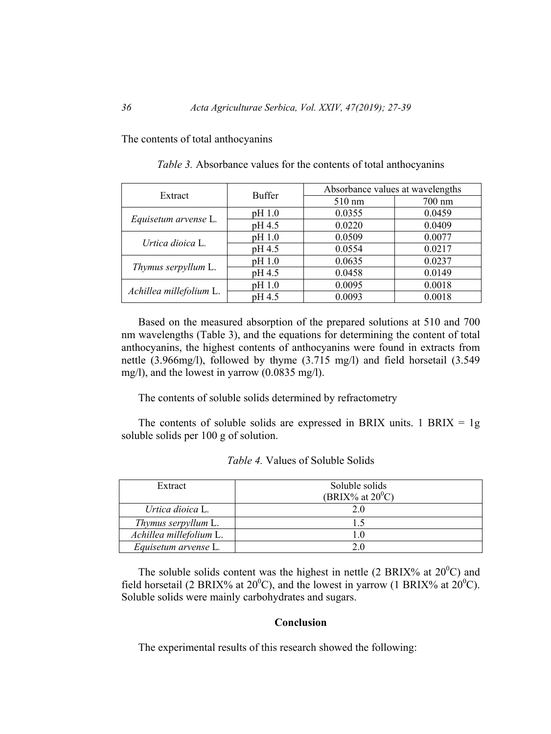The contents of total anthocyanins

| Extract                 | <b>Buffer</b> | Absorbance values at wavelengths |                  |
|-------------------------|---------------|----------------------------------|------------------|
|                         |               | $510 \text{ nm}$                 | $700 \text{ nm}$ |
| Equisetum arvense L.    | pH 1.0        | 0.0355                           | 0.0459           |
|                         | pH 4.5        | 0.0220                           | 0.0409           |
| Urtica dioica L.        | pH 1.0        | 0.0509                           | 0.0077           |
|                         | pH 4.5        | 0.0554                           | 0.0217           |
| Thymus serpyllum L.     | pH 1.0        | 0.0635                           | 0.0237           |
|                         | pH 4.5        | 0.0458                           | 0.0149           |
| Achillea millefolium L. | pH 1.0        | 0.0095                           | 0.0018           |
|                         | pH 4.5        | 0.0093                           | 0.0018           |

*Table 3.* Absorbance values for the contents of total anthocyanins

Based on the measured absorption of the prepared solutions at 510 and 700 nm wavelengths (Table 3), and the equations for determining the content of total anthocyanins, the highest contents of anthocyanins were found in extracts from nettle (3.966mg/l), followed by thyme (3.715 mg/l) and field horsetail (3.549 mg/l), and the lowest in yarrow (0.0835 mg/l).

The contents of soluble solids determined by refractometry

The contents of soluble solids are expressed in BRIX units. 1 BRIX =  $1g$ soluble solids per 100 g of solution.

| Extract                     | Soluble solids      |  |
|-----------------------------|---------------------|--|
|                             | (BRIX% at $20^0$ C) |  |
| Urtica dioica L.            | 20                  |  |
| Thymus serpyllum L.         |                     |  |
| Achillea millefolium L.     |                     |  |
| <i>Equisetum arvense L.</i> | 20                  |  |

*Table 4.* Values of Soluble Solids

The soluble solids content was the highest in nettle (2 BRIX% at  $20^{\circ}$ C) and field horsetail (2 BRIX% at  $20^{\circ}$ C), and the lowest in yarrow (1 BRIX% at  $20^{\circ}$ C). Soluble solids were mainly carbohydrates and sugars.

### **Conclusion**

The experimental results of this research showed the following: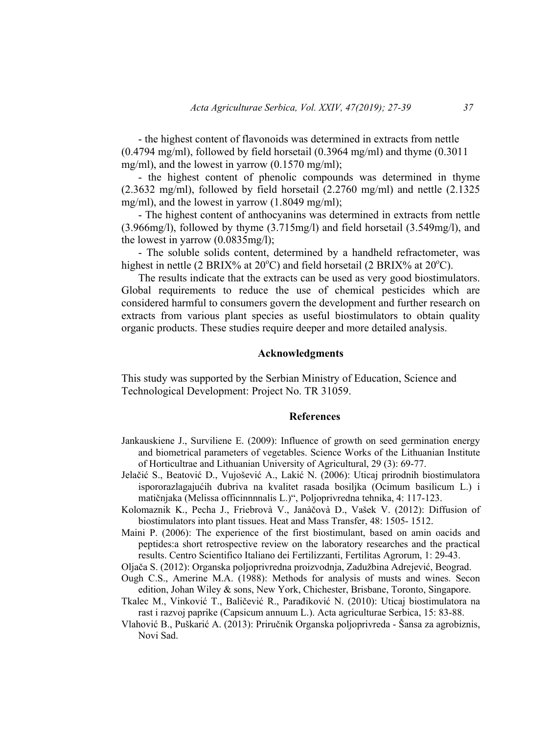- the highest content of flavonoids was determined in extracts from nettle  $(0.4794 \text{ mg/ml})$ , followed by field horsetail  $(0.3964 \text{ mg/ml})$  and thyme  $(0.3011$ mg/ml), and the lowest in yarrow (0.1570 mg/ml);

- the highest content of phenolic compounds was determined in thyme (2.3632 mg/ml), followed by field horsetail (2.2760 mg/ml) and nettle (2.1325 mg/ml), and the lowest in yarrow (1.8049 mg/ml);

- The highest content of anthocyanins was determined in extracts from nettle (3.966mg/l), followed by thyme (3.715mg/l) and field horsetail (3.549mg/l), and the lowest in yarrow (0.0835mg/l);

- The soluble solids content, determined by a handheld refractometer, was highest in nettle (2 BRIX% at 20 $^{\circ}$ C) and field horsetail (2 BRIX% at 20 $^{\circ}$ C).

The results indicate that the extracts can be used as very good biostimulators. Global requirements to reduce the use of chemical pesticides which are considered harmful to consumers govern the development and further research on extracts from various plant species as useful biostimulators to obtain quality organic products. These studies require deeper and more detailed analysis.

### **Acknowledgments**

This study was supported by the Serbian Ministry of Education, Science and Technological Development: Project No. TR 31059.

### **References**

- Jankauskiene J., Surviliene E. (2009): Influence of growth on seed germination energy and biometrical parameters of vegetables. Science Works of the Lithuanian Institute of Horticultrae and Lithuanian University of Agricultural, 29 (3): 69-77.
- Jelačić S., Beatović D., Vujošević A., Lakić N. (2006): Uticaj prirodnih biostimulatora ispororazlagajućih đubriva na kvalitet rasada bosiljka (Ocimum basilicum L.) i matičnjaka (Melissa officinnnnalis L.)", Poljoprivredna tehnika, 4: 117-123.
- Kolomaznik K., Pecha J., Friebrovà V., Janàčovà D., Vašek V. (2012): Diffusion of biostimulators into plant tissues. Heat and Mass Transfer, 48: 1505- 1512.
- Maini P. (2006): The experience of the first biostimulant, based on amin oacids and peptides:a short retrospective review on the laboratory researches and the practical results. Centro Scientifico Italiano dei Fertilizzanti, Fertilitas Agrorum, 1: 29-43.
- Oljača S. (2012): Organska poljoprivredna proizvodnja, Zadužbina Adrejević, Beograd. Ough C.S., Amerine M.A. (1988): Methods for analysis of musts and wines. Secon
- edition, Johan Wiley & sons, New York, Chichester, Brisbane, Toronto, Singapore. Tkalec M., Vinković T., Baličević R., Parađiković N. (2010): Uticaj biostimulatora na rast i razvoj paprike (Capsicum annuum L.). Acta agriculturae Serbica, 15: 83-88.
- Vlahović B., Puškarić A. (2013): Priručnik Organska poljoprivreda Šansa za agrobiznis, Novi Sad.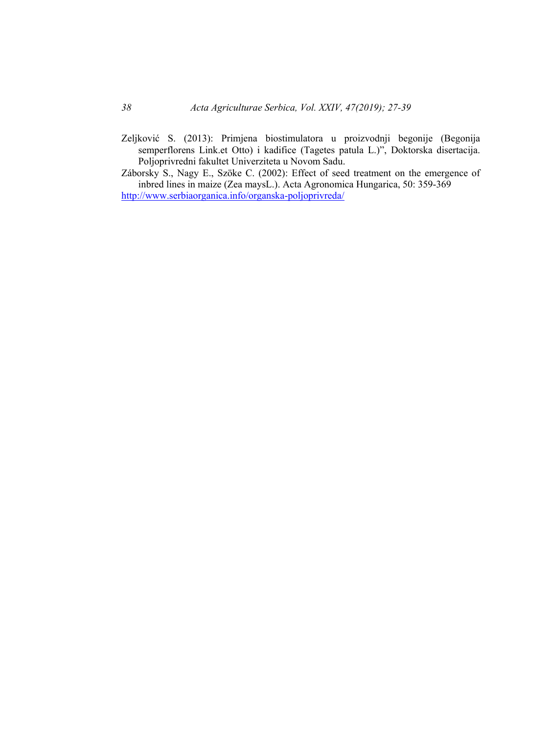- Zeljković S. (2013): Primjena biostimulatora u proizvodnji begonije (Begonija semperflorens Link.et Otto) i kadifice (Tagetes patula L.)", Doktorska disertacija. Poljoprivredni fakultet Univerziteta u Novom Sadu.
- Záborsky S., Nagy E., Szöke C. (2002): Effect of seed treatment on the emergence of inbred lines in maize (Zea maysL.). Acta Agronomica Hungarica, 50: 359-369 http://www.serbiaorganica.info/organska-poljoprivreda/